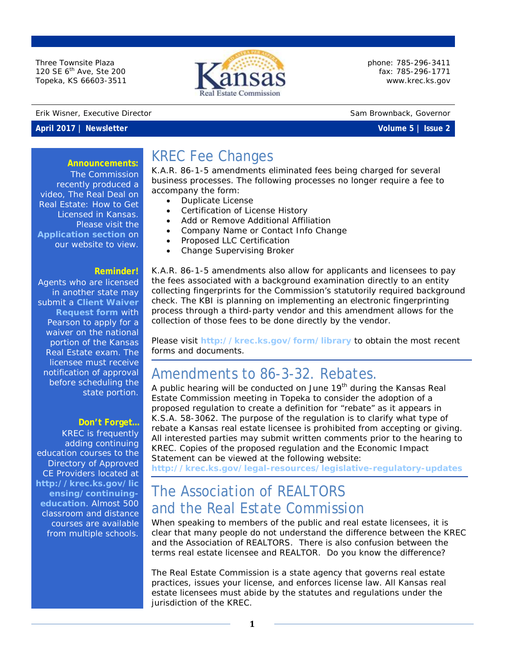Three Townsite Plaza 120 SE 6<sup>th</sup> Ave, Ste 200 Topeka, KS 66603-3511



phone: 785-296-3411 fax: 785-296-1771 [www.krec.ks.gov](http://www.krec.ks.gov/)

#### Erik Wisner, Executive Director Sam Brownback, Governor

**Announcements:**

#### **April 2017 | Newsletter Volume 5 | Issue 2**

### KREC Fee Changes

K.A.R. 86-1-5 amendments eliminated fees being charged for several business processes. The following processes no longer require a fee to accompany the form:

- Duplicate License
- Certification of License History
- Add or Remove Additional Affiliation
- Company Name or Contact Info Change
- Proposed LLC Certification
- Change Supervising Broker

K.A.R. 86-1-5 amendments also allow for applicants and licensees to pay the fees associated with a background examination directly to an entity collecting fingerprints for the Commission's statutorily required background check. The KBI is planning on implementing an electronic fingerprinting process through a third-party vendor and this amendment allows for the collection of those fees to be done directly by the vendor.

Please visit **<http://krec.ks.gov/form/library>** to obtain the most recent forms and documents.

### Amendments to 86-3-32. Rebates.

A public hearing will be conducted on June 19<sup>th</sup> during the Kansas Real Estate Commission meeting in Topeka to consider the adoption of a proposed regulation to create a definition for "rebate" as it appears in K.S.A. 58-3062. The purpose of the regulation is to clarify what type of rebate a Kansas real estate licensee is prohibited from accepting or giving. All interested parties may submit written comments prior to the hearing to KREC. Copies of the proposed regulation and the Economic Impact Statement can be viewed at the following website:

**<http://krec.ks.gov/legal-resources/legislative-regulatory-updates>**

### The Association of REALTORS and the Real Estate Commission

When speaking to members of the public and real estate licensees, it is clear that many people do not understand the difference between the KREC and the Association of REALTORS. There is also confusion between the terms *real estate licensee* and *REALTOR*. Do you know the difference?

The Real Estate Commission is a state agency that governs real estate practices, issues your license, and enforces license law. All Kansas real estate licensees must abide by the statutes and regulations under the jurisdiction of the KREC.

The Commission recently produced a video, *The Real Deal on Real Estate: How to Get Licensed in Kansas*. Please visit the **[Application section](http://krec.ks.gov/Application)** on our website to view.

#### **Reminder!**

Agents who are licensed in another state may submit a **[Client Waiver](http://www.pearsonvue.com/ks/realestate/waivers/)  [Request form](http://www.pearsonvue.com/ks/realestate/waivers/)** with Pearson to apply for a waiver on the national portion of the Kansas Real Estate exam. The licensee must receive notification of approval before scheduling the state portion.

#### **Don't Forget…**

KREC is frequently adding continuing education courses to the Directory of Approved CE Providers located at **[http://krec.ks.gov/lic](http://krec.ks.gov/licensing/continuing-education) [ensing/continuing](http://krec.ks.gov/licensing/continuing-education)[education](http://krec.ks.gov/licensing/continuing-education)**. Almost 500 classroom and distance courses are available from multiple schools.